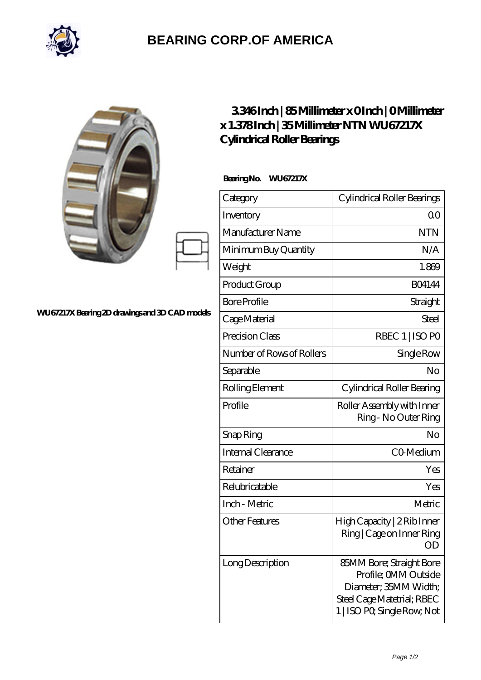

## **[BEARING CORP.OF AMERICA](https://bluemondayreview.com)**

|                                                | 3346Inch   85Millimeter x OInch   OMillimeter<br>x 1.378Inch   35Millimeter NTN WU67217X<br><b>Cylindrical Roller Bearings</b><br>BearingNo.<br>WU67217X |                                                                                                                                        |
|------------------------------------------------|----------------------------------------------------------------------------------------------------------------------------------------------------------|----------------------------------------------------------------------------------------------------------------------------------------|
| WU67217X Bearing 2D drawings and 3D CAD models |                                                                                                                                                          | Cylindrical Roller Bearings                                                                                                            |
|                                                | Category<br>Inventory                                                                                                                                    | 0 <sub>0</sub>                                                                                                                         |
|                                                | Manufacturer Name                                                                                                                                        | <b>NTN</b>                                                                                                                             |
|                                                | Minimum Buy Quantity                                                                                                                                     | N/A                                                                                                                                    |
|                                                | Weight                                                                                                                                                   | 1.869                                                                                                                                  |
|                                                | Product Group                                                                                                                                            | <b>BO4144</b>                                                                                                                          |
|                                                | <b>Bore Profile</b>                                                                                                                                      | Straight                                                                                                                               |
|                                                | Cage Material                                                                                                                                            | <b>Steel</b>                                                                                                                           |
|                                                | Precision Class                                                                                                                                          | RBEC 1   ISO PO                                                                                                                        |
|                                                | Number of Rows of Rollers                                                                                                                                | Single Row                                                                                                                             |
|                                                | Separable                                                                                                                                                | No                                                                                                                                     |
|                                                | Rolling Element                                                                                                                                          | Cylindrical Roller Bearing                                                                                                             |
|                                                | Profile                                                                                                                                                  | Roller Assembly with Inner<br>Ring - No Outer Ring                                                                                     |
|                                                | Snap Ring                                                                                                                                                | No                                                                                                                                     |
|                                                | Internal Clearance                                                                                                                                       | CO-Medium                                                                                                                              |
|                                                | Retainer                                                                                                                                                 | Yes                                                                                                                                    |
|                                                | Relubricatable                                                                                                                                           | Yes                                                                                                                                    |
|                                                | Inch - Metric                                                                                                                                            | Metric                                                                                                                                 |
|                                                | <b>Other Features</b>                                                                                                                                    | High Capacity   2 Rib Inner<br>Ring   Cage on Inner Ring<br><b>OD</b>                                                                  |
|                                                | <b>Long Description</b>                                                                                                                                  | 85MM Bore; Straight Bore<br>Profile; OMM Outside<br>Diameter; 35MM Width;<br>Steel Cage Matetrial; RBEC<br>1   ISO PO, Single Row, Not |